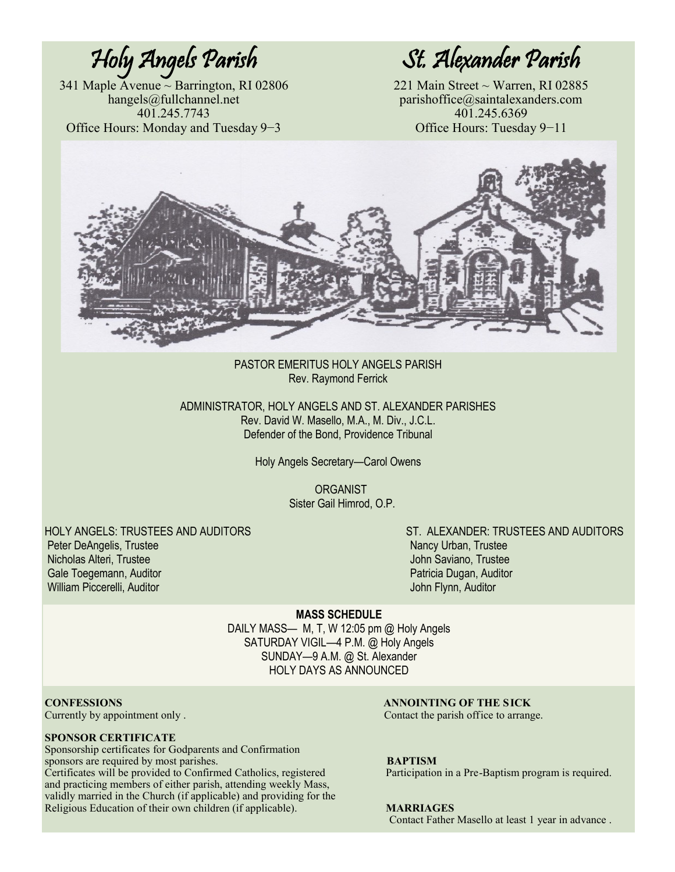341 Maple Avenue ~ Barrington, RI 02806 221 Main Street ~ Warren, RI 02885 Office Hours: Monday and Tuesday 9−3

Holy Angels Parish St. Alexander Parish

hangels@fullchannel.net parishoffice@saintalexanders.com 401.245.7743<br>
All.245.6369 11.245.6369 11: Monday and Tuesday 9-3



PASTOR EMERITUS HOLY ANGELS PARISH Rev. Raymond Ferrick

ADMINISTRATOR, HOLY ANGELS AND ST. ALEXANDER PARISHES Rev. David W. Masello, M.A., M. Div., J.C.L. Defender of the Bond, Providence Tribunal

Holy Angels Secretary—Carol Owens

**ORGANIST** Sister Gail Himrod, O.P.

Peter DeAngelis, Trustee Nancy Urban, Trustee Nancy Urban, Trustee Nancy Urban, Trustee Nicholas Alteri, Trustee John Saviano, Trustee Gale Toegemann, Auditor **Patricia Dugan, Auditor** Patricia Dugan, Auditor William Piccerelli, Auditor John Flynn, Auditor

HOLY ANGELS: TRUSTEES AND AUDITORS ST. ALEXANDER: TRUSTEES AND AUDITORS

**MASS SCHEDULE**

DAILY MASS— M, T, W 12:05 pm @ Holy Angels SATURDAY VIGIL—4 P.M. @ Holy Angels SUNDAY—9 A.M. @ St. Alexander HOLY DAYS AS ANNOUNCED

#### **SPONSOR CERTIFICATE**

Sponsorship certificates for Godparents and Confirmation sponsors are required by most parishes. **BAPTISM** Certificates will be provided to Confirmed Catholics, registered Participation in a Pre-Baptism program is required. and practicing members of either parish, attending weekly Mass, validly married in the Church (if applicable) and providing for the Religious Education of their own children (if applicable). **MARRIAGES**

**CONFESSIONS ANNOINTING OF THE SICK**<br>Currently by appointment only . <br>Contact the parish office to arrangement only and the set of the set of the set of the set of the set of the set of the set of the set of the set of t Contact the parish office to arrange.

Contact Father Masello at least 1 year in advance .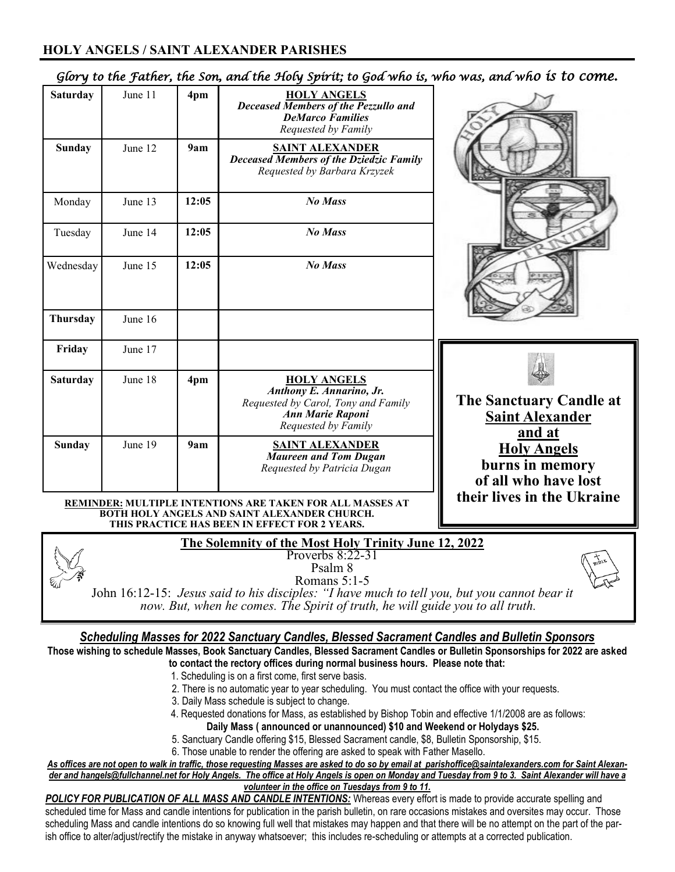### **HOLY ANGELS / SAINT ALEXANDER PARISHES**

| <b>Saturday</b>                                                                                                                                                                                                                                                                      | June 11 | 4pm   | <b>HOLY ANGELS</b><br><b>Deceased Members of the Pezzullo and</b><br><b>DeMarco Families</b><br>Requested by Family                     |                                                               |  |  |  |
|--------------------------------------------------------------------------------------------------------------------------------------------------------------------------------------------------------------------------------------------------------------------------------------|---------|-------|-----------------------------------------------------------------------------------------------------------------------------------------|---------------------------------------------------------------|--|--|--|
| <b>Sunday</b>                                                                                                                                                                                                                                                                        | June 12 | 9am   | <b>SAINT ALEXANDER</b><br><b>Deceased Members of the Dziedzic Family</b><br>Requested by Barbara Krzyzek                                |                                                               |  |  |  |
| Monday                                                                                                                                                                                                                                                                               | June 13 | 12:05 | No Mass                                                                                                                                 |                                                               |  |  |  |
| Tuesday                                                                                                                                                                                                                                                                              | June 14 | 12:05 | <b>No Mass</b>                                                                                                                          |                                                               |  |  |  |
| Wednesday                                                                                                                                                                                                                                                                            | June 15 | 12:05 | <b>No Mass</b>                                                                                                                          |                                                               |  |  |  |
| Thursday                                                                                                                                                                                                                                                                             | June 16 |       |                                                                                                                                         |                                                               |  |  |  |
| Friday                                                                                                                                                                                                                                                                               | June 17 |       |                                                                                                                                         |                                                               |  |  |  |
| <b>Saturday</b>                                                                                                                                                                                                                                                                      | June 18 | 4pm   | <b>HOLY ANGELS</b><br><b>Anthony E. Annarino, Jr.</b><br>Requested by Carol, Tony and Family<br>Ann Marie Raponi<br>Requested by Family | The Sanctuary Candle at<br><b>Saint Alexander</b><br>and at   |  |  |  |
| <b>Sunday</b>                                                                                                                                                                                                                                                                        | June 19 | 9am   | <u>SAINT ALEXANDER</u><br><b>Maureen and Tom Dugan</b><br>Requested by Patricia Dugan                                                   | <b>Holy Angels</b><br>burns in memory<br>of all who have lost |  |  |  |
| their lives in the Ukraine<br><b>REMINDER: MULTIPLE INTENTIONS ARE TAKEN FOR ALL MASSES AT</b><br>BOTH HOLY ANGELS AND SAINT ALEXANDER CHURCH.<br>THIS PRACTICE HAS BEEN IN EFFECT FOR 2 YEARS.                                                                                      |         |       |                                                                                                                                         |                                                               |  |  |  |
| The Solemnity of the Most Holy Trinity June 12, 2022<br>Proverbs 8:22-31<br>Psalm 8<br>Romans 5:1-5<br>John 16:12-15: Jesus said to his disciples: "I have much to tell you, but you cannot bear it<br>now. But, when he comes. The Spirit of truth, he will guide you to all truth. |         |       |                                                                                                                                         |                                                               |  |  |  |
| <b>Scheduling Masses for 2022 Sanctuary Candles, Blessed Sacrament Candles and Bulletin Sponsors</b><br>Those wishing to schedule Masses, Book Sanctuary Candles, Blessed Sacrament Candles or Bulletin Sponsorships for 2022 are asked                                              |         |       |                                                                                                                                         |                                                               |  |  |  |

*Glory to the Father, the Son, and the Holy Spirit; to God who is, who was, and who is to come.* 

- 1. Scheduling is on a first come, first serve basis.
- 2. There is no automatic year to year scheduling. You must contact the office with your requests.
- 3. Daily Mass schedule is subject to change.
- 4. Requested donations for Mass, as established by Bishop Tobin and effective 1/1/2008 are as follows: **Daily Mass ( announced or unannounced) \$10 and Weekend or Holydays \$25.**
- 5. Sanctuary Candle offering \$15, Blessed Sacrament candle, \$8, Bulletin Sponsorship, \$15.
- 6. Those unable to render the offering are asked to speak with Father Masello.

**to contact the rectory offices during normal business hours. Please note that:**

*As offices are not open to walk in traffic, those requesting Masses are asked to do so by email at parishoffice@saintalexanders.com for Saint Alexander and hangels@fullchannel.net for Holy Angels. The office at Holy Angels is open on Monday and Tuesday from 9 to 3. Saint Alexander will have a volunteer in the office on Tuesdays from 9 to 11.*

**POLICY FOR PUBLICATION OF ALL MASS AND CANDLE INTENTIONS:** Whereas every effort is made to provide accurate spelling and scheduled time for Mass and candle intentions for publication in the parish bulletin, on rare occasions mistakes and oversites may occur. Those scheduling Mass and candle intentions do so knowing full well that mistakes may happen and that there will be no attempt on the part of the parish office to alter/adjust/rectify the mistake in anyway whatsoever; this includes re-scheduling or attempts at a corrected publication.